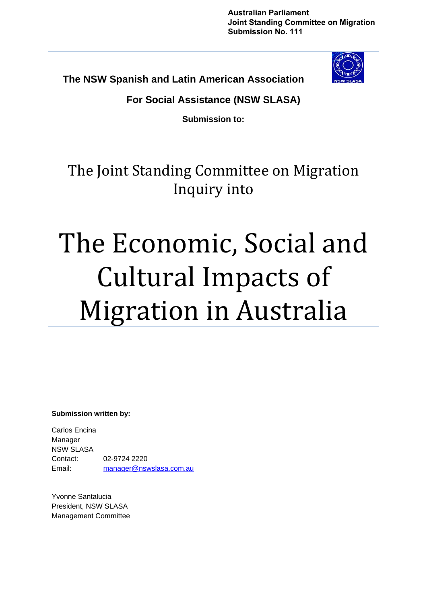**Australian Parliament Joint Standing Committee on Migration Submission No. 111**

**The NSW Spanish and Latin American Association** 



**For Social Assistance (NSW SLASA)** 

**Submission to:** 

The Joint Standing Committee on Migration Inquiry into

# The Economic, Social and Cultural Impacts of Migration in Australia

**Submission written by:** 

Carlos Encina Manager NSW SLASA Contact: 02-9724 2220 Email: [manager@nswslasa.com.au](mailto:manager@nswslasa.com.au)

Yvonne Santalucia President, NSW SLASA Management Committee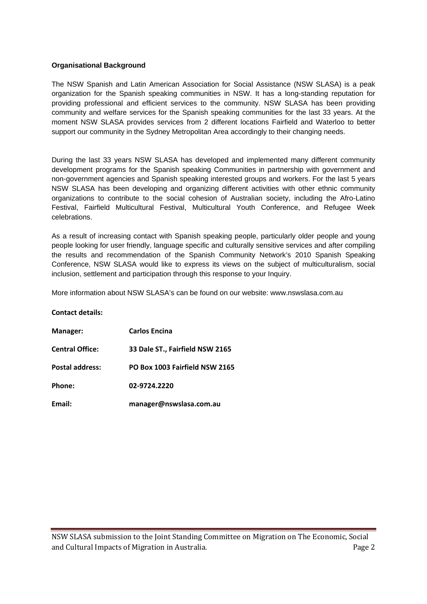#### **Organisational Background**

The NSW Spanish and Latin American Association for Social Assistance (NSW SLASA) is a peak organization for the Spanish speaking communities in NSW. It has a long-standing reputation for providing professional and efficient services to the community. NSW SLASA has been providing community and welfare services for the Spanish speaking communities for the last 33 years. At the moment NSW SLASA provides services from 2 different locations Fairfield and Waterloo to better support our community in the Sydney Metropolitan Area accordingly to their changing needs.

During the last 33 years NSW SLASA has developed and implemented many different community development programs for the Spanish speaking Communities in partnership with government and non-government agencies and Spanish speaking interested groups and workers. For the last 5 years NSW SLASA has been developing and organizing different activities with other ethnic community organizations to contribute to the social cohesion of Australian society, including the Afro-Latino Festival, Fairfield Multicultural Festival, Multicultural Youth Conference, and Refugee Week celebrations.

As a result of increasing contact with Spanish speaking people, particularly older people and young people looking for user friendly, language specific and culturally sensitive services and after compiling the results and recommendation of the Spanish Community Network's 2010 Spanish Speaking Conference, NSW SLASA would like to express its views on the subject of multiculturalism, social inclusion, settlement and participation through this response to your Inquiry.

More information about NSW SLASA's can be found on our website: www.nswslasa.com.au

#### **Contact details:**

| Manager:               | <b>Carlos Encina</b>            |
|------------------------|---------------------------------|
| <b>Central Office:</b> | 33 Dale ST., Fairfield NSW 2165 |
| <b>Postal address:</b> | PO Box 1003 Fairfield NSW 2165  |
| Phone:                 | 02-9724.2220                    |
| Email:                 | manager@nswslasa.com.au         |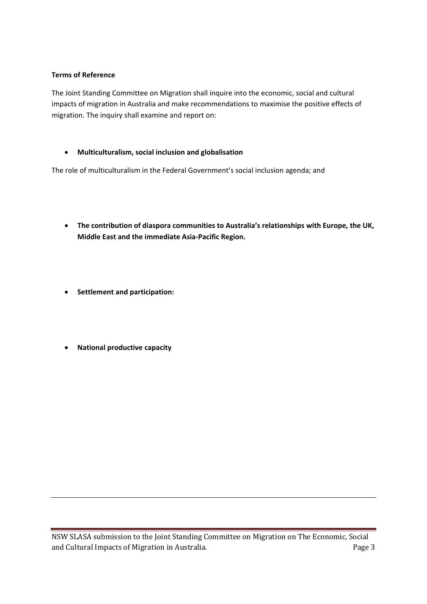#### **Terms of Reference**

The Joint Standing Committee on Migration shall inquire into the economic, social and cultural impacts of migration in Australia and make recommendations to maximise the positive effects of migration. The inquiry shall examine and report on:

• **Multiculturalism, social inclusion and globalisation**

The role of multiculturalism in the Federal Government's social inclusion agenda; and

- **The contribution of diaspora communities to Australia's relationships with Europe, the UK, Middle East and the immediate Asia‐Pacific Region.**
- **Settlement and participation:**
- **National productive capacity**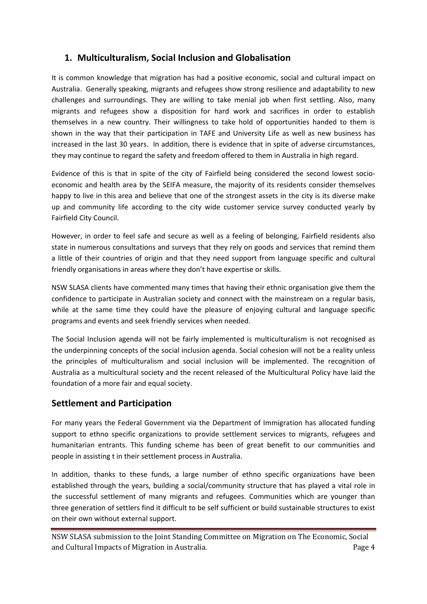### **1. Multiculturalism, Social Inclusion and Globalisation**

It is common knowledge that migration has had a positive economic, social and cultural impact on Australia. Generally speaking, migrants and refugees show strong resilience and adaptability to new challenges and surroundings. They are willing to take menial job when first settling. Also, many migrants and refugees show a disposition for hard work and sacrifices in order to establish themselves in a new country. Their willingness to take hold of opportunities handed to them is shown in the way that their participation in TAFE and University Life as well as new business has increased in the last 30 years. In addition, there is evidence that in spite of adverse circumstances, they may continue to regard the safety and freedom offered to them in Australia in high regard.

Evidence of this is that in spite of the city of Fairfield being considered the second lowest socioeconomic and health area by the SEIFA measure, the majority of its residents consider themselves happy to live in this area and believe that one of the strongest assets in the city is its diverse make up and community life according to the city wide customer service survey conducted yearly by Fairfield City Council.

However, in order to feel safe and secure as well as a feeling of belonging, Fairfield residents also state in numerous consultations and surveys that they rely on goods and services that remind them a little of their countries of origin and that they need support from language specific and cultural friendly organisations in areas where they don't have expertise or skills.

NSW SLASA clients have commented many times that having their ethnic organisation give them the confidence to participate in Australian society and connect with the mainstream on a regular basis, while at the same time they could have the pleasure of enjoying cultural and language specific programs and events and seek friendly services when needed.

The Social Inclusion agenda will not be fairly implemented is multiculturalism is not recognised as the underpinning concepts of the social inclusion agenda. Social cohesion will not be a reality unless the principles of multiculturalism and social inclusion will be implemented. The recognition of Australia as a multicultural society and the recent released of the Multicultural Policy have laid the foundation of a more fair and equal society.

#### **Settlement and Participation**

For many years the Federal Government via the Department of Immigration has allocated funding support to ethno specific organizations to provide settlement services to migrants, refugees and humanitarian entrants. This funding scheme has been of great benefit to our communities and people in assisting t in their settlement process in Australia.

In addition, thanks to these funds, a large number of ethno specific organizations have been established through the years, building a social/community structure that has played a vital role in the successful settlement of many migrants and refugees. Communities which are younger than three generation of settlers find it difficult to be self sufficient or build sustainable structures to exist on their own without external support.

NSW SLASA submission to the Joint Standing Committee on Migration on The Economic, Social and Cultural Impacts of Migration in Australia. The extended of the Page 4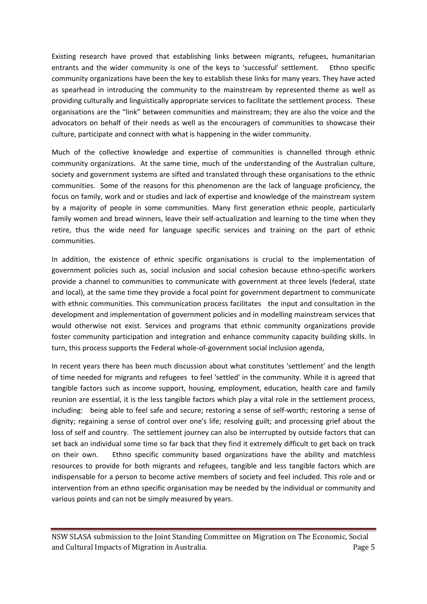Existing research have proved that establishing links between migrants, refugees, humanitarian entrants and the wider community is one of the keys to 'successful' settlement. Ethno specific community organizations have been the key to establish these links for many years. They have acted as spearhead in introducing the community to the mainstream by represented theme as well as providing culturally and linguistically appropriate services to facilitate the settlement process. These organisations are the "link" between communities and mainstream; they are also the voice and the advocators on behalf of their needs as well as the encouragers of communities to showcase their culture, participate and connect with what is happening in the wider community.

Much of the collective knowledge and expertise of communities is channelled through ethnic community organizations. At the same time, much of the understanding of the Australian culture, society and government systems are sifted and translated through these organisations to the ethnic communities. Some of the reasons for this phenomenon are the lack of language proficiency, the focus on family, work and or studies and lack of expertise and knowledge of the mainstream system by a majority of people in some communities. Many first generation ethnic people, particularly family women and bread winners, leave their self-actualization and learning to the time when they retire, thus the wide need for language specific services and training on the part of ethnic communities.

In addition, the existence of ethnic specific organisations is crucial to the implementation of government policies such as, social inclusion and social cohesion because ethno‐specific workers provide a channel to communities to communicate with government at three levels (federal, state and local), at the same time they provide a focal point for government department to communicate with ethnic communities. This communication process facilitates the input and consultation in the development and implementation of government policies and in modelling mainstream services that would otherwise not exist. Services and programs that ethnic community organizations provide foster community participation and integration and enhance community capacity building skills. In turn, this process supports the Federal whole‐of‐government social inclusion agenda,

In recent years there has been much discussion about what constitutes 'settlement' and the length of time needed for migrants and refugees to feel 'settled' in the community. While it is agreed that tangible factors such as income support, housing, employment, education, health care and family reunion are essential, it is the less tangible factors which play a vital role in the settlement process, including: being able to feel safe and secure; restoring a sense of self‐worth; restoring a sense of dignity; regaining a sense of control over one's life; resolving guilt; and processing grief about the loss of self and country. The settlement journey can also be interrupted by outside factors that can set back an individual some time so far back that they find it extremely difficult to get back on track on their own. Ethno specific community based organizations have the ability and matchless resources to provide for both migrants and refugees, tangible and less tangible factors which are indispensable for a person to become active members of society and feel included. This role and or intervention from an ethno specific organisation may be needed by the individual or community and various points and can not be simply measured by years.

NSW SLASA submission to the Joint Standing Committee on Migration on The Economic, Social and Cultural Impacts of Migration in Australia.  $\blacksquare$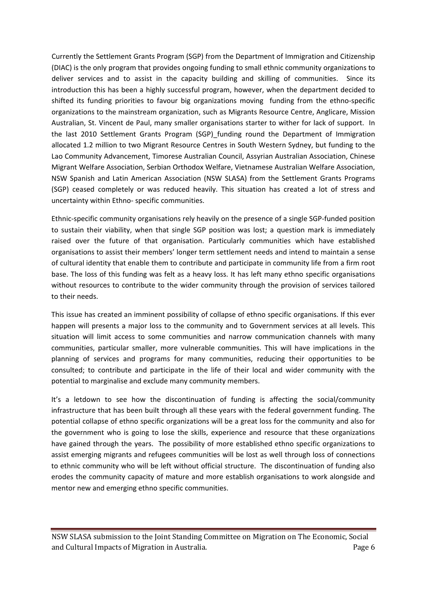Currently the Settlement Grants Program (SGP) from the Department of Immigration and Citizenship (DIAC) is the only program that provides ongoing funding to small ethnic community organizations to deliver services and to assist in the capacity building and skilling of communities. Since its introduction this has been a highly successful program, however, when the department decided to shifted its funding priorities to favour big organizations moving funding from the ethno-specific organizations to the mainstream organization, such as Migrants Resource Centre, Anglicare, Mission Australian, St. Vincent de Paul, many smaller organisations starter to wither for lack of support. In the last 2010 Settlement Grants Program (SGP) funding round the Department of Immigration allocated 1.2 million to two Migrant Resource Centres in South Western Sydney, but funding to the Lao Community Advancement, Timorese Australian Council, Assyrian Australian Association, Chinese Migrant Welfare Association, Serbian Orthodox Welfare, Vietnamese Australian Welfare Association, NSW Spanish and Latin American Association (NSW SLASA) from the Settlement Grants Programs (SGP) ceased completely or was reduced heavily. This situation has created a lot of stress and uncertainty within Ethno‐ specific communities.

Ethnic‐specific community organisations rely heavily on the presence of a single SGP‐funded position to sustain their viability, when that single SGP position was lost; a question mark is immediately raised over the future of that organisation. Particularly communities which have established organisations to assist their members' longer term settlement needs and intend to maintain a sense of cultural identity that enable them to contribute and participate in community life from a firm root base. The loss of this funding was felt as a heavy loss. It has left many ethno specific organisations without resources to contribute to the wider community through the provision of services tailored to their needs.

This issue has created an imminent possibility of collapse of ethno specific organisations. If this ever happen will presents a major loss to the community and to Government services at all levels. This situation will limit access to some communities and narrow communication channels with many communities, particular smaller, more vulnerable communities. This will have implications in the planning of services and programs for many communities, reducing their opportunities to be consulted; to contribute and participate in the life of their local and wider community with the potential to marginalise and exclude many community members.

It's a letdown to see how the discontinuation of funding is affecting the social/community infrastructure that has been built through all these years with the federal government funding. The potential collapse of ethno specific organizations will be a great loss for the community and also for the government who is going to lose the skills, experience and resource that these organizations have gained through the years. The possibility of more established ethno specific organizations to assist emerging migrants and refugees communities will be lost as well through loss of connections to ethnic community who will be left without official structure. The discontinuation of funding also erodes the community capacity of mature and more establish organisations to work alongside and mentor new and emerging ethno specific communities.

NSW SLASA submission to the Joint Standing Committee on Migration on The Economic, Social and Cultural Impacts of Migration in Australia.  $\blacksquare$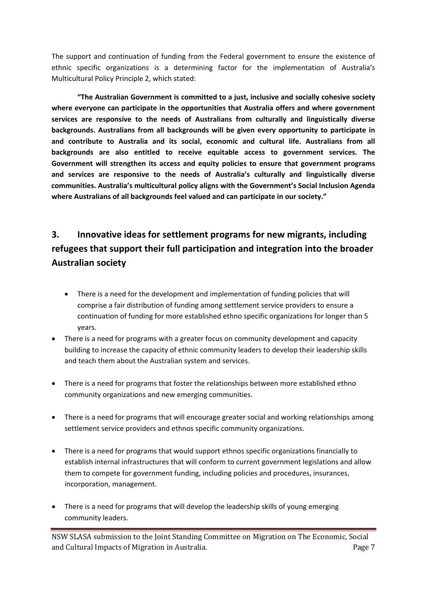The support and continuation of funding from the Federal government to ensure the existence of ethnic specific organizations is a determining factor for the implementation of Australia's Multicultural Policy Principle 2, which stated:

**"The Australian Government is committed to a just, inclusive and socially cohesive society where everyone can participate in the opportunities that Australia offers and where government services are responsive to the needs of Australians from culturally and linguistically diverse backgrounds. Australians from all backgrounds will be given every opportunity to participate in and contribute to Australia and its social, economic and cultural life. Australians from all backgrounds are also entitled to receive equitable access to government services. The Government will strengthen its access and equity policies to ensure that government programs and services are responsive to the needs of Australia's culturally and linguistically diverse communities. Australia's multicultural policy aligns with the Government's Social Inclusion Agenda where Australians of all backgrounds feel valued and can participate in our society."**

# **3. Innovative ideas for settlement programs for new migrants, including refugees that support their full participation and integration into the broader Australian society**

- There is a need for the development and implementation of funding policies that will comprise a fair distribution of funding among settlement service providers to ensure a continuation of funding for more established ethno specific organizations for longer than 5 years.
- There is a need for programs with a greater focus on community development and capacity building to increase the capacity of ethnic community leaders to develop their leadership skills and teach them about the Australian system and services.
- There is a need for programs that foster the relationships between more established ethno community organizations and new emerging communities.
- There is a need for programs that will encourage greater social and working relationships among settlement service providers and ethnos specific community organizations.
- There is a need for programs that would support ethnos specific organizations financially to establish internal infrastructures that will conform to current government legislations and allow them to compete for government funding, including policies and procedures, insurances, incorporation, management.
- There is a need for programs that will develop the leadership skills of young emerging community leaders.

NSW SLASA submission to the Joint Standing Committee on Migration on The Economic, Social and Cultural Impacts of Migration in Australia. The control of the control of the Page 7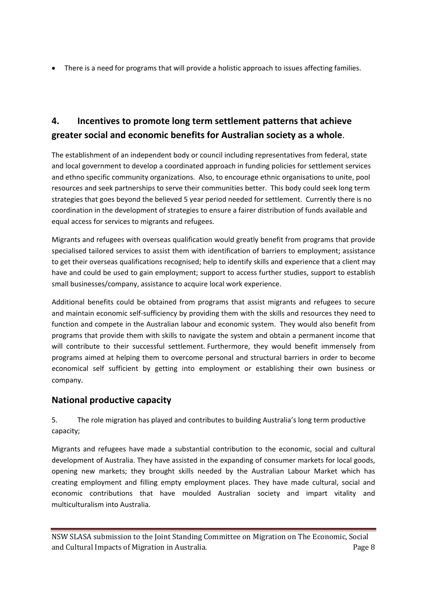• There is a need for programs that will provide a holistic approach to issues affecting families.

## **4. Incentives to promote long term settlement patterns that achieve greater social and economic benefits for Australian society as a whole**.

The establishment of an independent body or council including representatives from federal, state and local government to develop a coordinated approach in funding policies for settlement services and ethno specific community organizations. Also, to encourage ethnic organisations to unite, pool resources and seek partnerships to serve their communities better. This body could seek long term strategies that goes beyond the believed 5 year period needed for settlement. Currently there is no coordination in the development of strategies to ensure a fairer distribution of funds available and equal access for services to migrants and refugees.

Migrants and refugees with overseas qualification would greatly benefit from programs that provide specialised tailored services to assist them with identification of barriers to employment; assistance to get their overseas qualifications recognised; help to identify skills and experience that a client may have and could be used to gain employment; support to access further studies, support to establish small businesses/company, assistance to acquire local work experience.

Additional benefits could be obtained from programs that assist migrants and refugees to secure and maintain economic self-sufficiency by providing them with the skills and resources they need to function and compete in the Australian labour and economic system. They would also benefit from programs that provide them with skills to navigate the system and obtain a permanent income that will contribute to their successful settlement. Furthermore, they would benefit immensely from programs aimed at helping them to overcome personal and structural barriers in order to become economical self sufficient by getting into employment or establishing their own business or company.

## **National productive capacity**

5. The role migration has played and contributes to building Australia's long term productive capacity;

Migrants and refugees have made a substantial contribution to the economic, social and cultural development of Australia. They have assisted in the expanding of consumer markets for local goods, opening new markets; they brought skills needed by the Australian Labour Market which has creating employment and filling empty employment places. They have made cultural, social and economic contributions that have moulded Australian society and impart vitality and multiculturalism into Australia.

NSW SLASA submission to the Joint Standing Committee on Migration on The Economic, Social and Cultural Impacts of Migration in Australia. The example of the example of the Page 8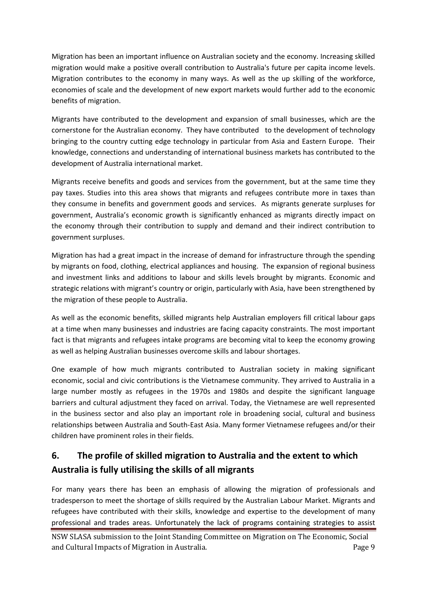Migration has been an important influence on Australian society and the economy. Increasing skilled migration would make a positive overall contribution to Australia's future per capita income levels. Migration contributes to the economy in many ways. As well as the up skilling of the workforce, economies of scale and the development of new export markets would further add to the economic benefits of migration.

Migrants have contributed to the development and expansion of small businesses, which are the cornerstone for the Australian economy. They have contributed to the development of technology bringing to the country cutting edge technology in particular from Asia and Eastern Europe. Their knowledge, connections and understanding of international business markets has contributed to the development of Australia international market.

Migrants receive benefits and goods and services from the government, but at the same time they pay taxes. Studies into this area shows that migrants and refugees contribute more in taxes than they consume in benefits and government goods and services. As migrants generate surpluses for government, Australia's economic growth is significantly enhanced as migrants directly impact on the economy through their contribution to supply and demand and their indirect contribution to government surpluses.

Migration has had a great impact in the increase of demand for infrastructure through the spending by migrants on food, clothing, electrical appliances and housing. The expansion of regional business and investment links and additions to labour and skills levels brought by migrants. Economic and strategic relations with migrant's country or origin, particularly with Asia, have been strengthened by the migration of these people to Australia.

As well as the economic benefits, skilled migrants help Australian employers fill critical labour gaps at a time when many businesses and industries are facing capacity constraints. The most important fact is that migrants and refugees intake programs are becoming vital to keep the economy growing as well as helping Australian businesses overcome skills and labour shortages.

One example of how much migrants contributed to Australian society in making significant economic, social and civic contributions is the Vietnamese community. They arrived to Australia in a large number mostly as refugees in the 1970s and 1980s and despite the significant language barriers and cultural adjustment they faced on arrival. Today, the Vietnamese are well represented in the business sector and also play an important role in broadening social, cultural and business relationships between Australia and South‐East Asia. Many former Vietnamese refugees and/or their children have prominent roles in their fields.

# **6. The profile of skilled migration to Australia and the extent to which Australia is fully utilising the skills of all migrants**

For many years there has been an emphasis of allowing the migration of professionals and tradesperson to meet the shortage of skills required by the Australian Labour Market. Migrants and refugees have contributed with their skills, knowledge and expertise to the development of many professional and trades areas. Unfortunately the lack of programs containing strategies to assist

NSW SLASA submission to the Joint Standing Committee on Migration on The Economic, Social and Cultural Impacts of Migration in Australia. The example of the example of the Page 9